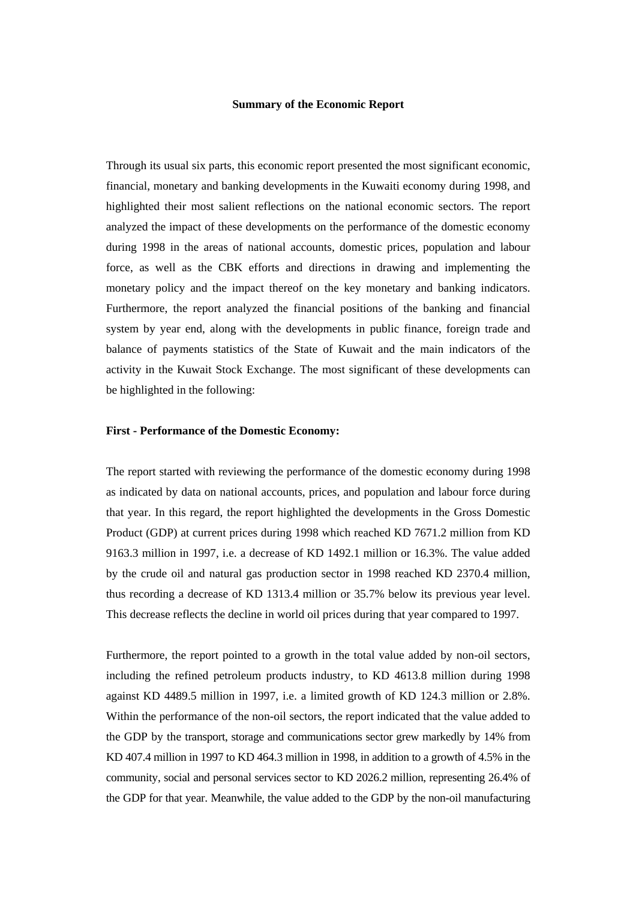#### **Summary of the Economic Report**

Through its usual six parts, this economic report presented the most significant economic, financial, monetary and banking developments in the Kuwaiti economy during 1998, and highlighted their most salient reflections on the national economic sectors. The report analyzed the impact of these developments on the performance of the domestic economy during 1998 in the areas of national accounts, domestic prices, population and labour force, as well as the CBK efforts and directions in drawing and implementing the monetary policy and the impact thereof on the key monetary and banking indicators. Furthermore, the report analyzed the financial positions of the banking and financial system by year end, along with the developments in public finance, foreign trade and balance of payments statistics of the State of Kuwait and the main indicators of the activity in the Kuwait Stock Exchange. The most significant of these developments can be highlighted in the following:

#### **First - Performance of the Domestic Economy:**

The report started with reviewing the performance of the domestic economy during 1998 as indicated by data on national accounts, prices, and population and labour force during that year. In this regard, the report highlighted the developments in the Gross Domestic Product (GDP) at current prices during 1998 which reached KD 7671.2 million from KD 9163.3 million in 1997, i.e. a decrease of KD 1492.1 million or 16.3%. The value added by the crude oil and natural gas production sector in 1998 reached KD 2370.4 million, thus recording a decrease of KD 1313.4 million or 35.7% below its previous year level. This decrease reflects the decline in world oil prices during that year compared to 1997.

Furthermore, the report pointed to a growth in the total value added by non-oil sectors, including the refined petroleum products industry, to KD 4613.8 million during 1998 against KD 4489.5 million in 1997, i.e. a limited growth of KD 124.3 million or 2.8%. Within the performance of the non-oil sectors, the report indicated that the value added to the GDP by the transport, storage and communications sector grew markedly by 14% from KD 407.4 million in 1997 to KD 464.3 million in 1998, in addition to a growth of 4.5% in the community, social and personal services sector to KD 2026.2 million, representing 26.4% of the GDP for that year. Meanwhile, the value added to the GDP by the non-oil manufacturing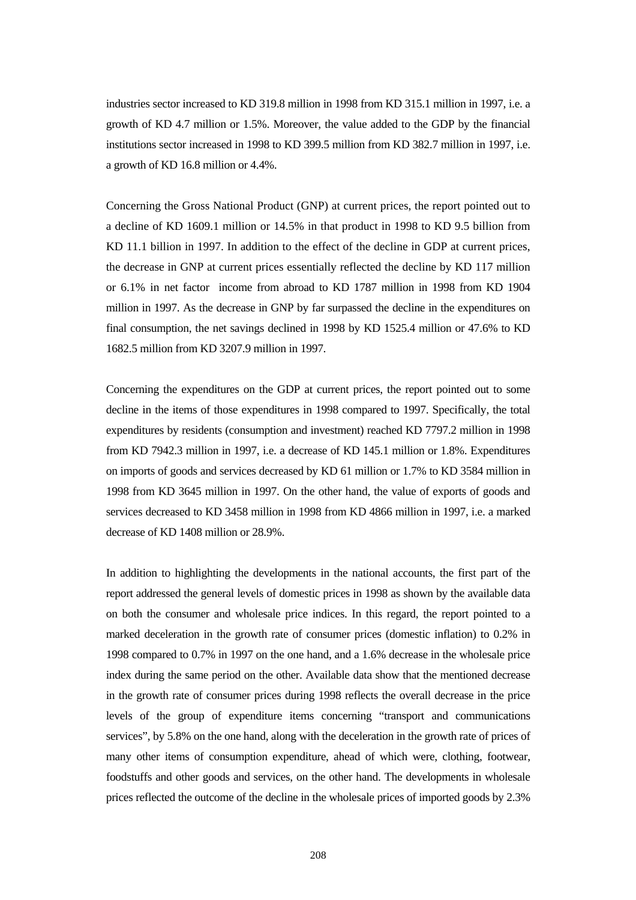industries sector increased to KD 319.8 million in 1998 from KD 315.1 million in 1997, i.e. a growth of KD 4.7 million or 1.5%. Moreover, the value added to the GDP by the financial institutions sector increased in 1998 to KD 399.5 million from KD 382.7 million in 1997, i.e. a growth of KD 16.8 million or 4.4%.

Concerning the Gross National Product (GNP) at current prices, the report pointed out to a decline of KD 1609.1 million or 14.5% in that product in 1998 to KD 9.5 billion from KD 11.1 billion in 1997. In addition to the effect of the decline in GDP at current prices, the decrease in GNP at current prices essentially reflected the decline by KD 117 million or 6.1% in net factor income from abroad to KD 1787 million in 1998 from KD 1904 million in 1997. As the decrease in GNP by far surpassed the decline in the expenditures on final consumption, the net savings declined in 1998 by KD 1525.4 million or 47.6% to KD 1682.5 million from KD 3207.9 million in 1997.

Concerning the expenditures on the GDP at current prices, the report pointed out to some decline in the items of those expenditures in 1998 compared to 1997. Specifically, the total expenditures by residents (consumption and investment) reached KD 7797.2 million in 1998 from KD 7942.3 million in 1997, i.e. a decrease of KD 145.1 million or 1.8%. Expenditures on imports of goods and services decreased by KD 61 million or 1.7% to KD 3584 million in 1998 from KD 3645 million in 1997. On the other hand, the value of exports of goods and services decreased to KD 3458 million in 1998 from KD 4866 million in 1997, i.e. a marked decrease of KD 1408 million or 28.9%.

In addition to highlighting the developments in the national accounts, the first part of the report addressed the general levels of domestic prices in 1998 as shown by the available data on both the consumer and wholesale price indices. In this regard, the report pointed to a marked deceleration in the growth rate of consumer prices (domestic inflation) to 0.2% in 1998 compared to 0.7% in 1997 on the one hand, and a 1.6% decrease in the wholesale price index during the same period on the other. Available data show that the mentioned decrease in the growth rate of consumer prices during 1998 reflects the overall decrease in the price levels of the group of expenditure items concerning "transport and communications services", by 5.8% on the one hand, along with the deceleration in the growth rate of prices of many other items of consumption expenditure, ahead of which were, clothing, footwear, foodstuffs and other goods and services, on the other hand. The developments in wholesale prices reflected the outcome of the decline in the wholesale prices of imported goods by 2.3%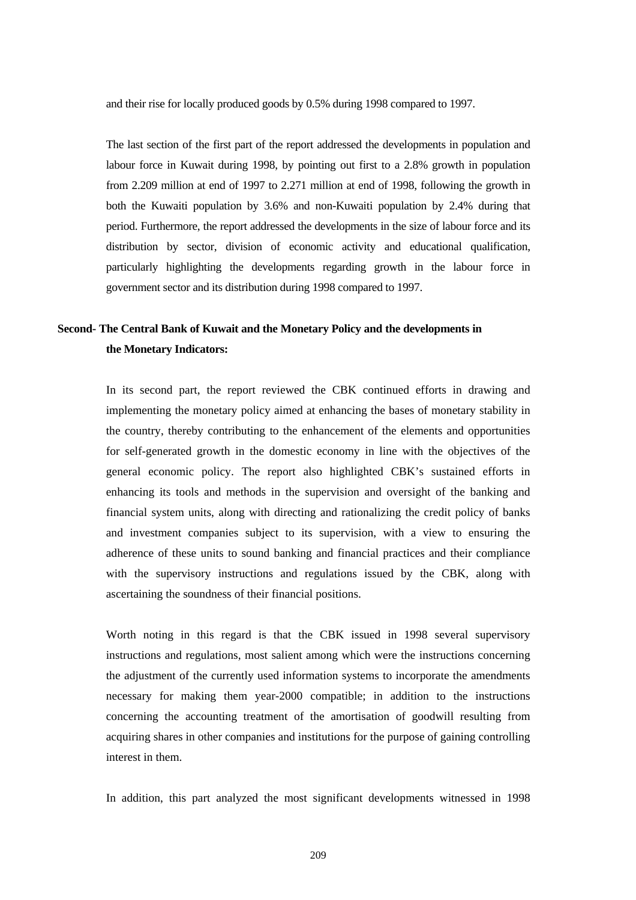and their rise for locally produced goods by 0.5% during 1998 compared to 1997.

The last section of the first part of the report addressed the developments in population and labour force in Kuwait during 1998, by pointing out first to a 2.8% growth in population from 2.209 million at end of 1997 to 2.271 million at end of 1998, following the growth in both the Kuwaiti population by 3.6% and non-Kuwaiti population by 2.4% during that period. Furthermore, the report addressed the developments in the size of labour force and its distribution by sector, division of economic activity and educational qualification, particularly highlighting the developments regarding growth in the labour force in government sector and its distribution during 1998 compared to 1997.

# **Second- The Central Bank of Kuwait and the Monetary Policy and the developments in the Monetary Indicators:**

In its second part, the report reviewed the CBK continued efforts in drawing and implementing the monetary policy aimed at enhancing the bases of monetary stability in the country, thereby contributing to the enhancement of the elements and opportunities for self-generated growth in the domestic economy in line with the objectives of the general economic policy. The report also highlighted CBK's sustained efforts in enhancing its tools and methods in the supervision and oversight of the banking and financial system units, along with directing and rationalizing the credit policy of banks and investment companies subject to its supervision, with a view to ensuring the adherence of these units to sound banking and financial practices and their compliance with the supervisory instructions and regulations issued by the CBK, along with ascertaining the soundness of their financial positions.

Worth noting in this regard is that the CBK issued in 1998 several supervisory instructions and regulations, most salient among which were the instructions concerning the adjustment of the currently used information systems to incorporate the amendments necessary for making them year-2000 compatible; in addition to the instructions concerning the accounting treatment of the amortisation of goodwill resulting from acquiring shares in other companies and institutions for the purpose of gaining controlling interest in them.

In addition, this part analyzed the most significant developments witnessed in 1998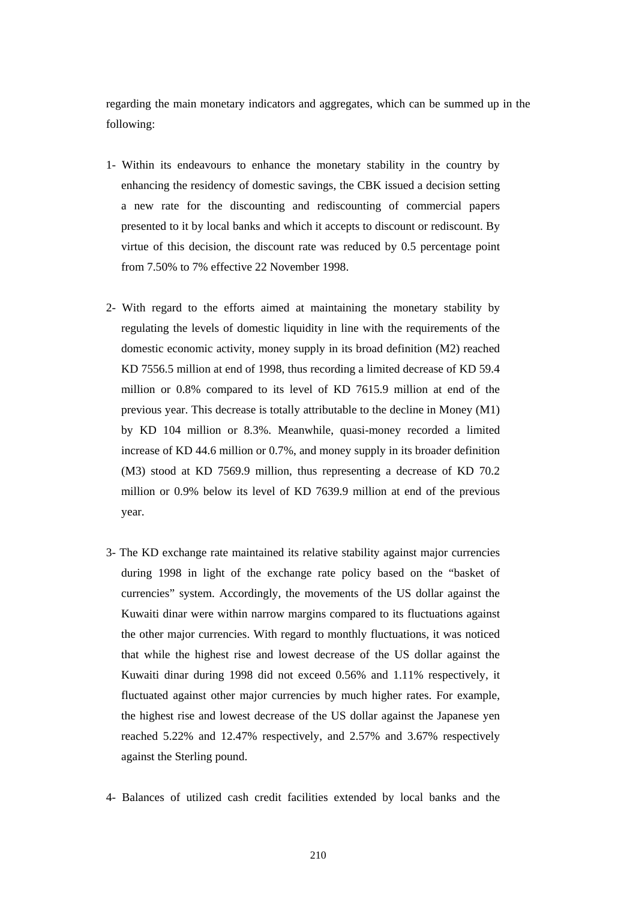regarding the main monetary indicators and aggregates, which can be summed up in the following:

- 1- Within its endeavours to enhance the monetary stability in the country by enhancing the residency of domestic savings, the CBK issued a decision setting a new rate for the discounting and rediscounting of commercial papers presented to it by local banks and which it accepts to discount or rediscount. By virtue of this decision, the discount rate was reduced by 0.5 percentage point from 7.50% to 7% effective 22 November 1998.
- 2- With regard to the efforts aimed at maintaining the monetary stability by regulating the levels of domestic liquidity in line with the requirements of the domestic economic activity, money supply in its broad definition (M2) reached KD 7556.5 million at end of 1998, thus recording a limited decrease of KD 59.4 million or 0.8% compared to its level of KD 7615.9 million at end of the previous year. This decrease is totally attributable to the decline in Money (M1) by KD 104 million or 8.3%. Meanwhile, quasi-money recorded a limited increase of KD 44.6 million or 0.7%, and money supply in its broader definition (M3) stood at KD 7569.9 million, thus representing a decrease of KD 70.2 million or 0.9% below its level of KD 7639.9 million at end of the previous year.
- 3- The KD exchange rate maintained its relative stability against major currencies during 1998 in light of the exchange rate policy based on the "basket of currencies" system. Accordingly, the movements of the US dollar against the Kuwaiti dinar were within narrow margins compared to its fluctuations against the other major currencies. With regard to monthly fluctuations, it was noticed that while the highest rise and lowest decrease of the US dollar against the Kuwaiti dinar during 1998 did not exceed 0.56% and 1.11% respectively, it fluctuated against other major currencies by much higher rates. For example, the highest rise and lowest decrease of the US dollar against the Japanese yen reached 5.22% and 12.47% respectively, and 2.57% and 3.67% respectively against the Sterling pound.
- 4- Balances of utilized cash credit facilities extended by local banks and the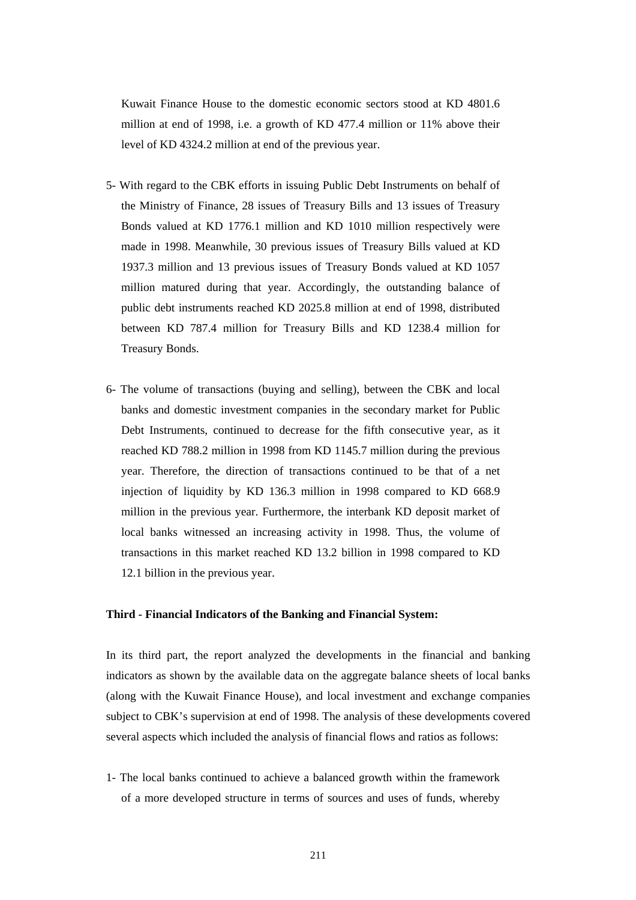Kuwait Finance House to the domestic economic sectors stood at KD 4801.6 million at end of 1998, i.e. a growth of KD 477.4 million or 11% above their level of KD 4324.2 million at end of the previous year.

- 5- With regard to the CBK efforts in issuing Public Debt Instruments on behalf of the Ministry of Finance, 28 issues of Treasury Bills and 13 issues of Treasury Bonds valued at KD 1776.1 million and KD 1010 million respectively were made in 1998. Meanwhile, 30 previous issues of Treasury Bills valued at KD 1937.3 million and 13 previous issues of Treasury Bonds valued at KD 1057 million matured during that year. Accordingly, the outstanding balance of public debt instruments reached KD 2025.8 million at end of 1998, distributed between KD 787.4 million for Treasury Bills and KD 1238.4 million for Treasury Bonds.
- 6- The volume of transactions (buying and selling), between the CBK and local banks and domestic investment companies in the secondary market for Public Debt Instruments, continued to decrease for the fifth consecutive year, as it reached KD 788.2 million in 1998 from KD 1145.7 million during the previous year. Therefore, the direction of transactions continued to be that of a net injection of liquidity by KD 136.3 million in 1998 compared to KD 668.9 million in the previous year. Furthermore, the interbank KD deposit market of local banks witnessed an increasing activity in 1998. Thus, the volume of transactions in this market reached KD 13.2 billion in 1998 compared to KD 12.1 billion in the previous year.

#### **Third - Financial Indicators of the Banking and Financial System:**

In its third part, the report analyzed the developments in the financial and banking indicators as shown by the available data on the aggregate balance sheets of local banks (along with the Kuwait Finance House), and local investment and exchange companies subject to CBK's supervision at end of 1998. The analysis of these developments covered several aspects which included the analysis of financial flows and ratios as follows:

1- The local banks continued to achieve a balanced growth within the framework of a more developed structure in terms of sources and uses of funds, whereby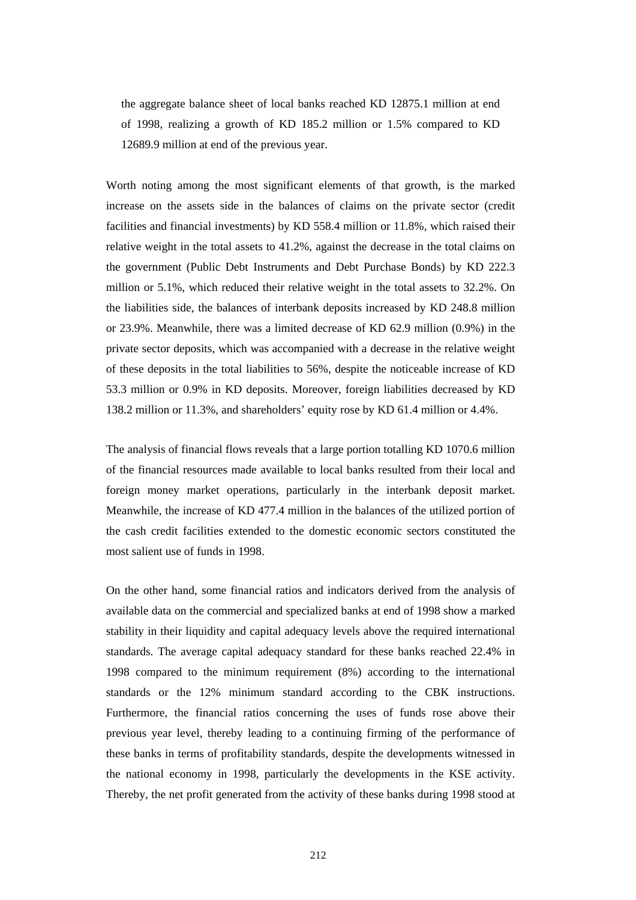the aggregate balance sheet of local banks reached KD 12875.1 million at end of 1998, realizing a growth of KD 185.2 million or 1.5% compared to KD 12689.9 million at end of the previous year.

 Worth noting among the most significant elements of that growth, is the marked increase on the assets side in the balances of claims on the private sector (credit facilities and financial investments) by KD 558.4 million or 11.8%, which raised their relative weight in the total assets to 41.2%, against the decrease in the total claims on the government (Public Debt Instruments and Debt Purchase Bonds) by KD 222.3 million or 5.1%, which reduced their relative weight in the total assets to 32.2%. On the liabilities side, the balances of interbank deposits increased by KD 248.8 million or 23.9%. Meanwhile, there was a limited decrease of KD 62.9 million (0.9%) in the private sector deposits, which was accompanied with a decrease in the relative weight of these deposits in the total liabilities to 56%, despite the noticeable increase of KD 53.3 million or 0.9% in KD deposits. Moreover, foreign liabilities decreased by KD 138.2 million or 11.3%, and shareholders' equity rose by KD 61.4 million or 4.4%.

 The analysis of financial flows reveals that a large portion totalling KD 1070.6 million of the financial resources made available to local banks resulted from their local and foreign money market operations, particularly in the interbank deposit market. Meanwhile, the increase of KD 477.4 million in the balances of the utilized portion of the cash credit facilities extended to the domestic economic sectors constituted the most salient use of funds in 1998.

 On the other hand, some financial ratios and indicators derived from the analysis of available data on the commercial and specialized banks at end of 1998 show a marked stability in their liquidity and capital adequacy levels above the required international standards. The average capital adequacy standard for these banks reached 22.4% in 1998 compared to the minimum requirement (8%) according to the international standards or the 12% minimum standard according to the CBK instructions. Furthermore, the financial ratios concerning the uses of funds rose above their previous year level, thereby leading to a continuing firming of the performance of these banks in terms of profitability standards, despite the developments witnessed in the national economy in 1998, particularly the developments in the KSE activity. Thereby, the net profit generated from the activity of these banks during 1998 stood at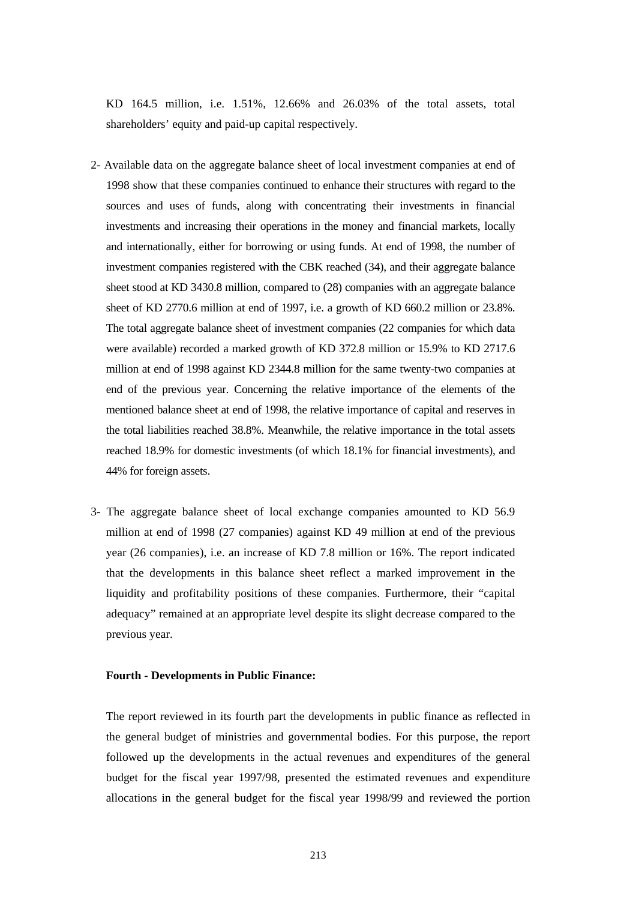KD 164.5 million, i.e. 1.51%, 12.66% and 26.03% of the total assets, total shareholders' equity and paid-up capital respectively.

- 2- Available data on the aggregate balance sheet of local investment companies at end of 1998 show that these companies continued to enhance their structures with regard to the sources and uses of funds, along with concentrating their investments in financial investments and increasing their operations in the money and financial markets, locally and internationally, either for borrowing or using funds. At end of 1998, the number of investment companies registered with the CBK reached (34), and their aggregate balance sheet stood at KD 3430.8 million, compared to (28) companies with an aggregate balance sheet of KD 2770.6 million at end of 1997, i.e. a growth of KD 660.2 million or 23.8%. The total aggregate balance sheet of investment companies (22 companies for which data were available) recorded a marked growth of KD 372.8 million or 15.9% to KD 2717.6 million at end of 1998 against KD 2344.8 million for the same twenty-two companies at end of the previous year. Concerning the relative importance of the elements of the mentioned balance sheet at end of 1998, the relative importance of capital and reserves in the total liabilities reached 38.8%. Meanwhile, the relative importance in the total assets reached 18.9% for domestic investments (of which 18.1% for financial investments), and 44% for foreign assets.
- 3- The aggregate balance sheet of local exchange companies amounted to KD 56.9 million at end of 1998 (27 companies) against KD 49 million at end of the previous year (26 companies), i.e. an increase of KD 7.8 million or 16%. The report indicated that the developments in this balance sheet reflect a marked improvement in the liquidity and profitability positions of these companies. Furthermore, their "capital adequacy" remained at an appropriate level despite its slight decrease compared to the previous year.

#### **Fourth - Developments in Public Finance:**

The report reviewed in its fourth part the developments in public finance as reflected in the general budget of ministries and governmental bodies. For this purpose, the report followed up the developments in the actual revenues and expenditures of the general budget for the fiscal year 1997/98, presented the estimated revenues and expenditure allocations in the general budget for the fiscal year 1998/99 and reviewed the portion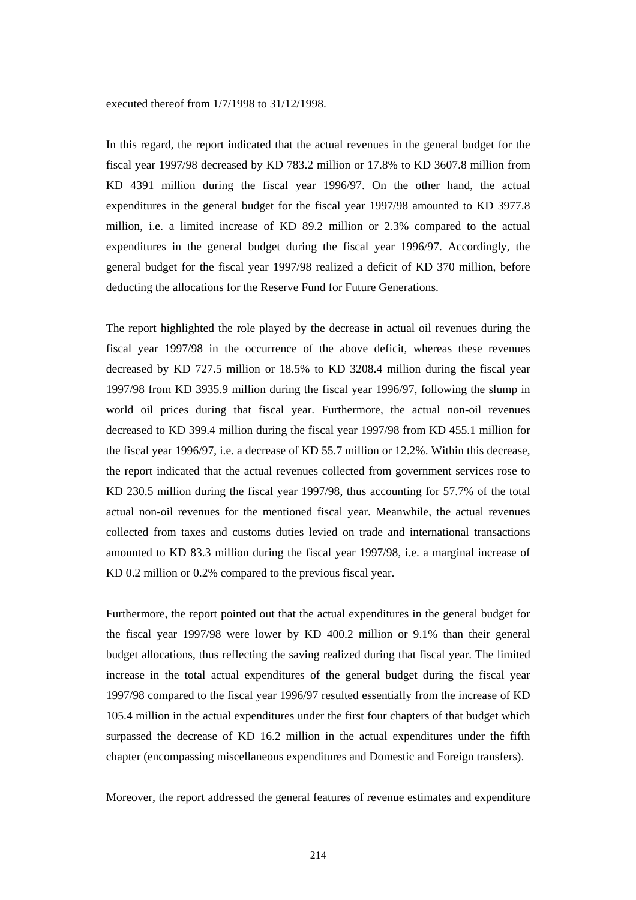#### executed thereof from 1/7/1998 to 31/12/1998.

In this regard, the report indicated that the actual revenues in the general budget for the fiscal year 1997/98 decreased by KD 783.2 million or 17.8% to KD 3607.8 million from KD 4391 million during the fiscal year 1996/97. On the other hand, the actual expenditures in the general budget for the fiscal year 1997/98 amounted to KD 3977.8 million, i.e. a limited increase of KD 89.2 million or 2.3% compared to the actual expenditures in the general budget during the fiscal year 1996/97. Accordingly, the general budget for the fiscal year 1997/98 realized a deficit of KD 370 million, before deducting the allocations for the Reserve Fund for Future Generations.

The report highlighted the role played by the decrease in actual oil revenues during the fiscal year 1997/98 in the occurrence of the above deficit, whereas these revenues decreased by KD 727.5 million or 18.5% to KD 3208.4 million during the fiscal year 1997/98 from KD 3935.9 million during the fiscal year 1996/97, following the slump in world oil prices during that fiscal year. Furthermore, the actual non-oil revenues decreased to KD 399.4 million during the fiscal year 1997/98 from KD 455.1 million for the fiscal year 1996/97, i.e. a decrease of KD 55.7 million or 12.2%. Within this decrease, the report indicated that the actual revenues collected from government services rose to KD 230.5 million during the fiscal year 1997/98, thus accounting for 57.7% of the total actual non-oil revenues for the mentioned fiscal year. Meanwhile, the actual revenues collected from taxes and customs duties levied on trade and international transactions amounted to KD 83.3 million during the fiscal year 1997/98, i.e. a marginal increase of KD 0.2 million or 0.2% compared to the previous fiscal year.

Furthermore, the report pointed out that the actual expenditures in the general budget for the fiscal year 1997/98 were lower by KD 400.2 million or 9.1% than their general budget allocations, thus reflecting the saving realized during that fiscal year. The limited increase in the total actual expenditures of the general budget during the fiscal year 1997/98 compared to the fiscal year 1996/97 resulted essentially from the increase of KD 105.4 million in the actual expenditures under the first four chapters of that budget which surpassed the decrease of KD 16.2 million in the actual expenditures under the fifth chapter (encompassing miscellaneous expenditures and Domestic and Foreign transfers).

Moreover, the report addressed the general features of revenue estimates and expenditure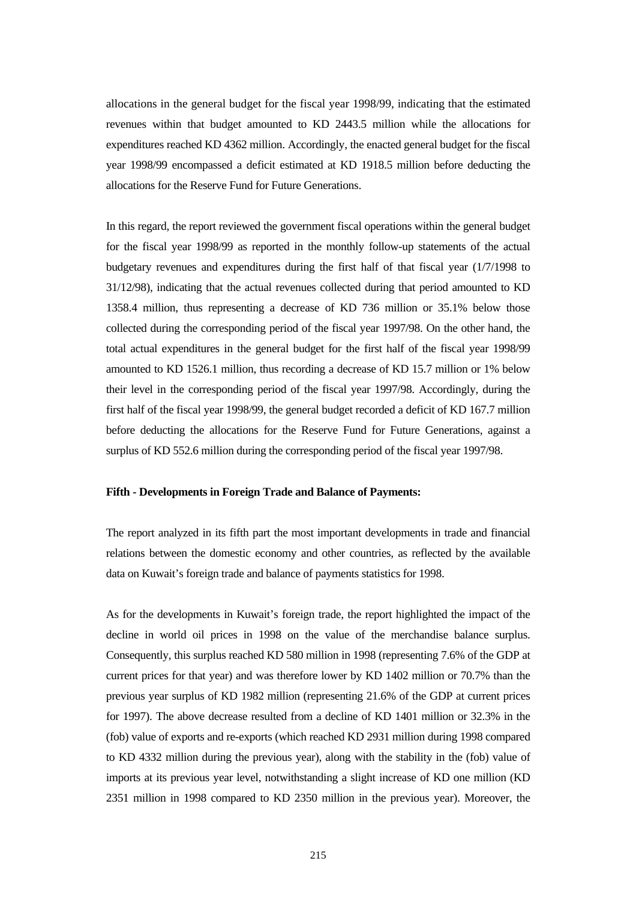allocations in the general budget for the fiscal year 1998/99, indicating that the estimated revenues within that budget amounted to KD 2443.5 million while the allocations for expenditures reached KD 4362 million. Accordingly, the enacted general budget for the fiscal year 1998/99 encompassed a deficit estimated at KD 1918.5 million before deducting the allocations for the Reserve Fund for Future Generations.

In this regard, the report reviewed the government fiscal operations within the general budget for the fiscal year 1998/99 as reported in the monthly follow-up statements of the actual budgetary revenues and expenditures during the first half of that fiscal year (1/7/1998 to 31/12/98), indicating that the actual revenues collected during that period amounted to KD 1358.4 million, thus representing a decrease of KD 736 million or 35.1% below those collected during the corresponding period of the fiscal year 1997/98. On the other hand, the total actual expenditures in the general budget for the first half of the fiscal year 1998/99 amounted to KD 1526.1 million, thus recording a decrease of KD 15.7 million or 1% below their level in the corresponding period of the fiscal year 1997/98. Accordingly, during the first half of the fiscal year 1998/99, the general budget recorded a deficit of KD 167.7 million before deducting the allocations for the Reserve Fund for Future Generations, against a surplus of KD 552.6 million during the corresponding period of the fiscal year 1997/98.

#### **Fifth - Developments in Foreign Trade and Balance of Payments:**

The report analyzed in its fifth part the most important developments in trade and financial relations between the domestic economy and other countries, as reflected by the available data on Kuwait's foreign trade and balance of payments statistics for 1998.

As for the developments in Kuwait's foreign trade, the report highlighted the impact of the decline in world oil prices in 1998 on the value of the merchandise balance surplus. Consequently, this surplus reached KD 580 million in 1998 (representing 7.6% of the GDP at current prices for that year) and was therefore lower by KD 1402 million or 70.7% than the previous year surplus of KD 1982 million (representing 21.6% of the GDP at current prices for 1997). The above decrease resulted from a decline of KD 1401 million or 32.3% in the (fob) value of exports and re-exports (which reached KD 2931 million during 1998 compared to KD 4332 million during the previous year), along with the stability in the (fob) value of imports at its previous year level, notwithstanding a slight increase of KD one million (KD 2351 million in 1998 compared to KD 2350 million in the previous year). Moreover, the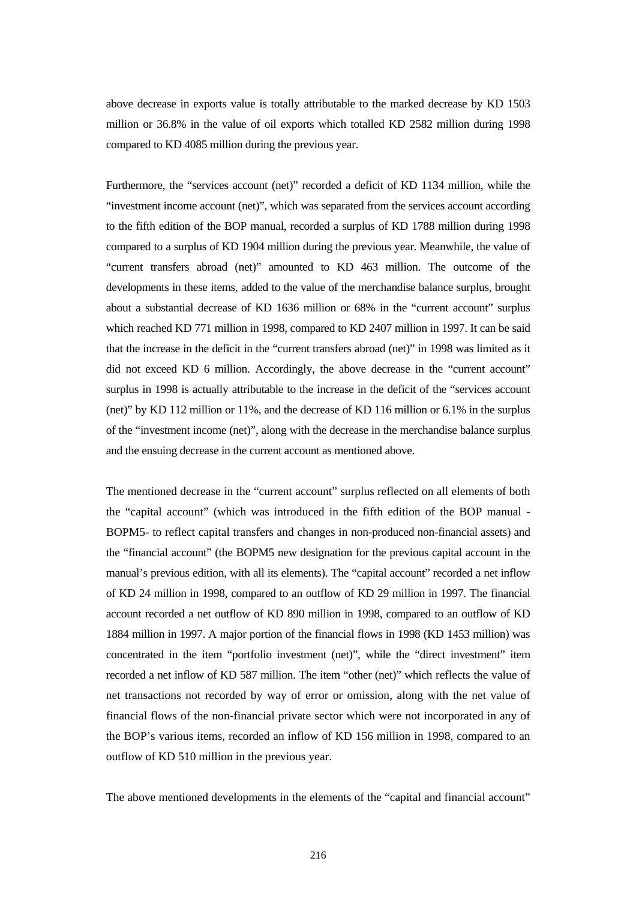above decrease in exports value is totally attributable to the marked decrease by KD 1503 million or 36.8% in the value of oil exports which totalled KD 2582 million during 1998 compared to KD 4085 million during the previous year.

Furthermore, the "services account (net)" recorded a deficit of KD 1134 million, while the "investment income account (net)", which was separated from the services account according to the fifth edition of the BOP manual, recorded a surplus of KD 1788 million during 1998 compared to a surplus of KD 1904 million during the previous year. Meanwhile, the value of "current transfers abroad (net)" amounted to KD 463 million. The outcome of the developments in these items, added to the value of the merchandise balance surplus, brought about a substantial decrease of KD 1636 million or 68% in the "current account" surplus which reached KD 771 million in 1998, compared to KD 2407 million in 1997. It can be said that the increase in the deficit in the "current transfers abroad (net)" in 1998 was limited as it did not exceed KD 6 million. Accordingly, the above decrease in the "current account" surplus in 1998 is actually attributable to the increase in the deficit of the "services account (net)" by KD 112 million or 11%, and the decrease of KD 116 million or 6.1% in the surplus of the "investment income (net)", along with the decrease in the merchandise balance surplus and the ensuing decrease in the current account as mentioned above.

The mentioned decrease in the "current account" surplus reflected on all elements of both the "capital account" (which was introduced in the fifth edition of the BOP manual - BOPM5- to reflect capital transfers and changes in non-produced non-financial assets) and the "financial account" (the BOPM5 new designation for the previous capital account in the manual's previous edition, with all its elements). The "capital account" recorded a net inflow of KD 24 million in 1998, compared to an outflow of KD 29 million in 1997. The financial account recorded a net outflow of KD 890 million in 1998, compared to an outflow of KD 1884 million in 1997. A major portion of the financial flows in 1998 (KD 1453 million) was concentrated in the item "portfolio investment (net)", while the "direct investment" item recorded a net inflow of KD 587 million. The item "other (net)" which reflects the value of net transactions not recorded by way of error or omission, along with the net value of financial flows of the non-financial private sector which were not incorporated in any of the BOP's various items, recorded an inflow of KD 156 million in 1998, compared to an outflow of KD 510 million in the previous year.

The above mentioned developments in the elements of the "capital and financial account"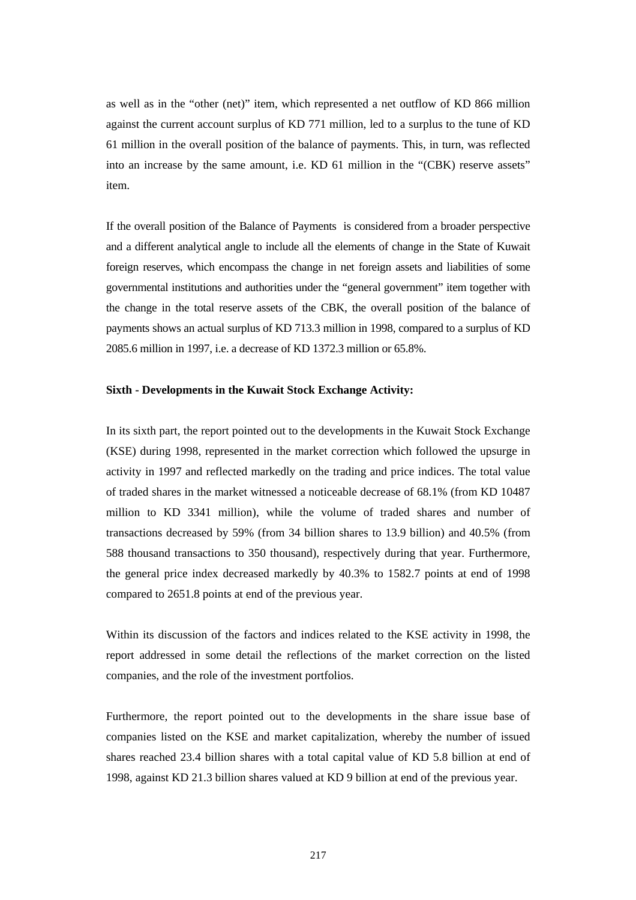as well as in the "other (net)" item, which represented a net outflow of KD 866 million against the current account surplus of KD 771 million, led to a surplus to the tune of KD 61 million in the overall position of the balance of payments. This, in turn, was reflected into an increase by the same amount, i.e. KD 61 million in the "(CBK) reserve assets" item.

If the overall position of the Balance of Payments is considered from a broader perspective and a different analytical angle to include all the elements of change in the State of Kuwait foreign reserves, which encompass the change in net foreign assets and liabilities of some governmental institutions and authorities under the "general government" item together with the change in the total reserve assets of the CBK, the overall position of the balance of payments shows an actual surplus of KD 713.3 million in 1998, compared to a surplus of KD 2085.6 million in 1997, i.e. a decrease of KD 1372.3 million or 65.8%.

#### **Sixth - Developments in the Kuwait Stock Exchange Activity:**

In its sixth part, the report pointed out to the developments in the Kuwait Stock Exchange (KSE) during 1998, represented in the market correction which followed the upsurge in activity in 1997 and reflected markedly on the trading and price indices. The total value of traded shares in the market witnessed a noticeable decrease of 68.1% (from KD 10487 million to KD 3341 million), while the volume of traded shares and number of transactions decreased by 59% (from 34 billion shares to 13.9 billion) and 40.5% (from 588 thousand transactions to 350 thousand), respectively during that year. Furthermore, the general price index decreased markedly by 40.3% to 1582.7 points at end of 1998 compared to 2651.8 points at end of the previous year.

Within its discussion of the factors and indices related to the KSE activity in 1998, the report addressed in some detail the reflections of the market correction on the listed companies, and the role of the investment portfolios.

Furthermore, the report pointed out to the developments in the share issue base of companies listed on the KSE and market capitalization, whereby the number of issued shares reached 23.4 billion shares with a total capital value of KD 5.8 billion at end of 1998, against KD 21.3 billion shares valued at KD 9 billion at end of the previous year.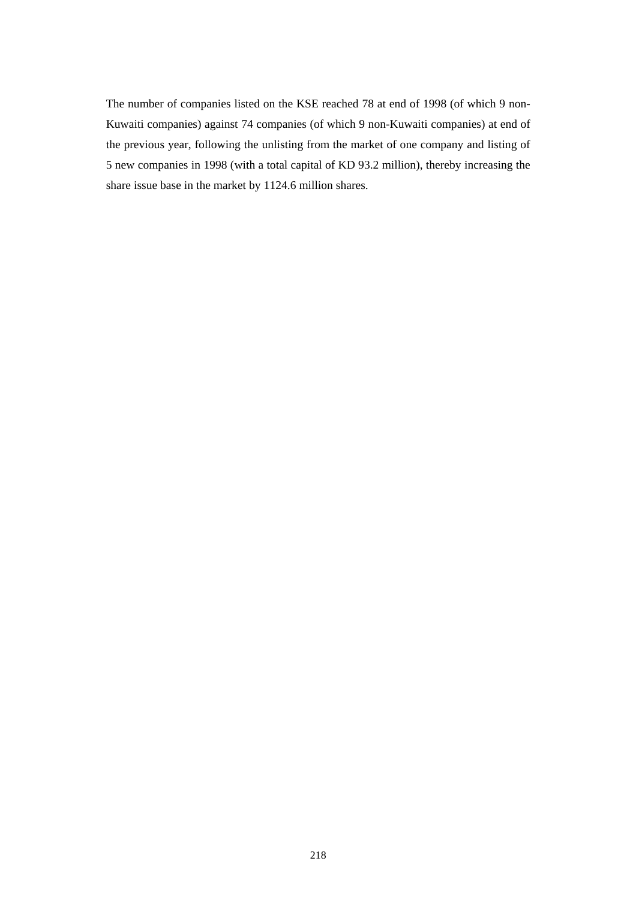The number of companies listed on the KSE reached 78 at end of 1998 (of which 9 non-Kuwaiti companies) against 74 companies (of which 9 non-Kuwaiti companies) at end of the previous year, following the unlisting from the market of one company and listing of 5 new companies in 1998 (with a total capital of KD 93.2 million), thereby increasing the share issue base in the market by 1124.6 million shares.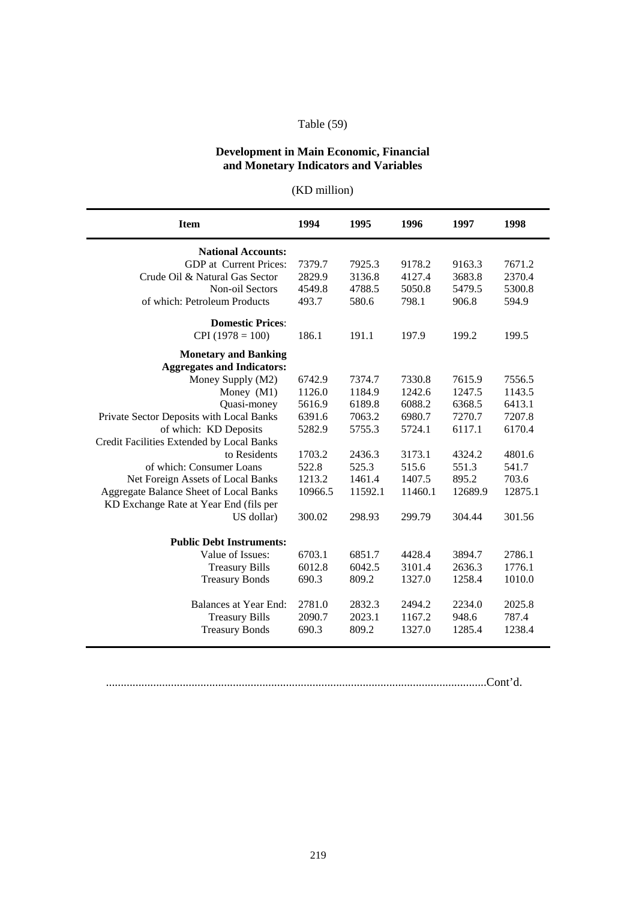## Table (59)

## **Development in Main Economic, Financial and Monetary Indicators and Variables**

| (KD million) |  |  |  |  |  |
|--------------|--|--|--|--|--|
|              |  |  |  |  |  |

| <b>National Accounts:</b><br>7379.7<br><b>GDP</b> at Current Prices:<br>7925.3<br>9178.2<br>Crude Oil & Natural Gas Sector<br>2829.9<br>3136.8<br>4127.4<br>Non-oil Sectors<br>4549.8<br>4788.5<br>5050.8<br>of which: Petroleum Products<br>493.7<br>580.6<br>798.1<br><b>Domestic Prices:</b><br>$CPI(1978 = 100)$<br>186.1<br>191.1<br>197.9<br><b>Monetary and Banking</b><br><b>Aggregates and Indicators:</b><br>Money Supply (M2)<br>6742.9<br>7374.7<br>7330.8<br>Money $(M1)$<br>1126.0<br>1184.9<br>1242.6<br>5616.9<br>6189.8<br>6088.2<br>Quasi-money<br>Private Sector Deposits with Local Banks<br>6391.6<br>7063.2<br>6980.7<br>of which: KD Deposits<br>5282.9<br>5755.3<br>5724.1<br>Credit Facilities Extended by Local Banks<br>to Residents<br>1703.2<br>2436.3<br>3173.1<br>of which: Consumer Loans<br>525.3<br>522.8<br>515.6<br>Net Foreign Assets of Local Banks<br>1461.4<br>1407.5<br>1213.2<br>Aggregate Balance Sheet of Local Banks<br>10966.5<br>11592.1<br>11460.1<br>KD Exchange Rate at Year End (fils per<br>US dollar)<br>300.02<br>298.93<br>299.79<br><b>Public Debt Instruments:</b><br>Value of Issues:<br>6703.1<br>6851.7<br>4428.4<br><b>Treasury Bills</b><br>6012.8<br>6042.5<br>3101.4<br><b>Treasury Bonds</b><br>690.3<br>809.2<br>1327.0<br>Balances at Year End:<br>2781.0<br>2832.3<br>2494.2<br>2234.0<br><b>Treasury Bills</b><br>2090.7<br>2023.1<br>1167.2<br>948.6 | <b>Item</b><br>1996<br>1998<br>1994<br>1995<br>1997 |
|----------------------------------------------------------------------------------------------------------------------------------------------------------------------------------------------------------------------------------------------------------------------------------------------------------------------------------------------------------------------------------------------------------------------------------------------------------------------------------------------------------------------------------------------------------------------------------------------------------------------------------------------------------------------------------------------------------------------------------------------------------------------------------------------------------------------------------------------------------------------------------------------------------------------------------------------------------------------------------------------------------------------------------------------------------------------------------------------------------------------------------------------------------------------------------------------------------------------------------------------------------------------------------------------------------------------------------------------------------------------------------------------------------------------------|-----------------------------------------------------|
|                                                                                                                                                                                                                                                                                                                                                                                                                                                                                                                                                                                                                                                                                                                                                                                                                                                                                                                                                                                                                                                                                                                                                                                                                                                                                                                                                                                                                            |                                                     |
|                                                                                                                                                                                                                                                                                                                                                                                                                                                                                                                                                                                                                                                                                                                                                                                                                                                                                                                                                                                                                                                                                                                                                                                                                                                                                                                                                                                                                            | 7671.2<br>9163.3                                    |
|                                                                                                                                                                                                                                                                                                                                                                                                                                                                                                                                                                                                                                                                                                                                                                                                                                                                                                                                                                                                                                                                                                                                                                                                                                                                                                                                                                                                                            | 3683.8<br>2370.4                                    |
|                                                                                                                                                                                                                                                                                                                                                                                                                                                                                                                                                                                                                                                                                                                                                                                                                                                                                                                                                                                                                                                                                                                                                                                                                                                                                                                                                                                                                            | 5479.5<br>5300.8                                    |
|                                                                                                                                                                                                                                                                                                                                                                                                                                                                                                                                                                                                                                                                                                                                                                                                                                                                                                                                                                                                                                                                                                                                                                                                                                                                                                                                                                                                                            | 906.8<br>594.9                                      |
|                                                                                                                                                                                                                                                                                                                                                                                                                                                                                                                                                                                                                                                                                                                                                                                                                                                                                                                                                                                                                                                                                                                                                                                                                                                                                                                                                                                                                            |                                                     |
|                                                                                                                                                                                                                                                                                                                                                                                                                                                                                                                                                                                                                                                                                                                                                                                                                                                                                                                                                                                                                                                                                                                                                                                                                                                                                                                                                                                                                            | 199.2<br>199.5                                      |
|                                                                                                                                                                                                                                                                                                                                                                                                                                                                                                                                                                                                                                                                                                                                                                                                                                                                                                                                                                                                                                                                                                                                                                                                                                                                                                                                                                                                                            |                                                     |
|                                                                                                                                                                                                                                                                                                                                                                                                                                                                                                                                                                                                                                                                                                                                                                                                                                                                                                                                                                                                                                                                                                                                                                                                                                                                                                                                                                                                                            |                                                     |
|                                                                                                                                                                                                                                                                                                                                                                                                                                                                                                                                                                                                                                                                                                                                                                                                                                                                                                                                                                                                                                                                                                                                                                                                                                                                                                                                                                                                                            | 7615.9<br>7556.5                                    |
|                                                                                                                                                                                                                                                                                                                                                                                                                                                                                                                                                                                                                                                                                                                                                                                                                                                                                                                                                                                                                                                                                                                                                                                                                                                                                                                                                                                                                            | 1247.5<br>1143.5                                    |
|                                                                                                                                                                                                                                                                                                                                                                                                                                                                                                                                                                                                                                                                                                                                                                                                                                                                                                                                                                                                                                                                                                                                                                                                                                                                                                                                                                                                                            | 6368.5<br>6413.1                                    |
|                                                                                                                                                                                                                                                                                                                                                                                                                                                                                                                                                                                                                                                                                                                                                                                                                                                                                                                                                                                                                                                                                                                                                                                                                                                                                                                                                                                                                            | 7270.7<br>7207.8                                    |
|                                                                                                                                                                                                                                                                                                                                                                                                                                                                                                                                                                                                                                                                                                                                                                                                                                                                                                                                                                                                                                                                                                                                                                                                                                                                                                                                                                                                                            | 6117.1<br>6170.4                                    |
|                                                                                                                                                                                                                                                                                                                                                                                                                                                                                                                                                                                                                                                                                                                                                                                                                                                                                                                                                                                                                                                                                                                                                                                                                                                                                                                                                                                                                            |                                                     |
|                                                                                                                                                                                                                                                                                                                                                                                                                                                                                                                                                                                                                                                                                                                                                                                                                                                                                                                                                                                                                                                                                                                                                                                                                                                                                                                                                                                                                            | 4324.2<br>4801.6                                    |
|                                                                                                                                                                                                                                                                                                                                                                                                                                                                                                                                                                                                                                                                                                                                                                                                                                                                                                                                                                                                                                                                                                                                                                                                                                                                                                                                                                                                                            | 551.3<br>541.7                                      |
|                                                                                                                                                                                                                                                                                                                                                                                                                                                                                                                                                                                                                                                                                                                                                                                                                                                                                                                                                                                                                                                                                                                                                                                                                                                                                                                                                                                                                            | 895.2<br>703.6                                      |
|                                                                                                                                                                                                                                                                                                                                                                                                                                                                                                                                                                                                                                                                                                                                                                                                                                                                                                                                                                                                                                                                                                                                                                                                                                                                                                                                                                                                                            | 12689.9<br>12875.1                                  |
|                                                                                                                                                                                                                                                                                                                                                                                                                                                                                                                                                                                                                                                                                                                                                                                                                                                                                                                                                                                                                                                                                                                                                                                                                                                                                                                                                                                                                            |                                                     |
|                                                                                                                                                                                                                                                                                                                                                                                                                                                                                                                                                                                                                                                                                                                                                                                                                                                                                                                                                                                                                                                                                                                                                                                                                                                                                                                                                                                                                            | 304.44<br>301.56                                    |
|                                                                                                                                                                                                                                                                                                                                                                                                                                                                                                                                                                                                                                                                                                                                                                                                                                                                                                                                                                                                                                                                                                                                                                                                                                                                                                                                                                                                                            |                                                     |
|                                                                                                                                                                                                                                                                                                                                                                                                                                                                                                                                                                                                                                                                                                                                                                                                                                                                                                                                                                                                                                                                                                                                                                                                                                                                                                                                                                                                                            | 3894.7<br>2786.1                                    |
|                                                                                                                                                                                                                                                                                                                                                                                                                                                                                                                                                                                                                                                                                                                                                                                                                                                                                                                                                                                                                                                                                                                                                                                                                                                                                                                                                                                                                            | 2636.3<br>1776.1                                    |
|                                                                                                                                                                                                                                                                                                                                                                                                                                                                                                                                                                                                                                                                                                                                                                                                                                                                                                                                                                                                                                                                                                                                                                                                                                                                                                                                                                                                                            | 1258.4<br>1010.0                                    |
|                                                                                                                                                                                                                                                                                                                                                                                                                                                                                                                                                                                                                                                                                                                                                                                                                                                                                                                                                                                                                                                                                                                                                                                                                                                                                                                                                                                                                            | 2025.8                                              |
|                                                                                                                                                                                                                                                                                                                                                                                                                                                                                                                                                                                                                                                                                                                                                                                                                                                                                                                                                                                                                                                                                                                                                                                                                                                                                                                                                                                                                            | 787.4                                               |
| <b>Treasury Bonds</b><br>809.2<br>1327.0<br>690.3                                                                                                                                                                                                                                                                                                                                                                                                                                                                                                                                                                                                                                                                                                                                                                                                                                                                                                                                                                                                                                                                                                                                                                                                                                                                                                                                                                          | 1285.4<br>1238.4                                    |

.................................................................................................................................Cont'd.